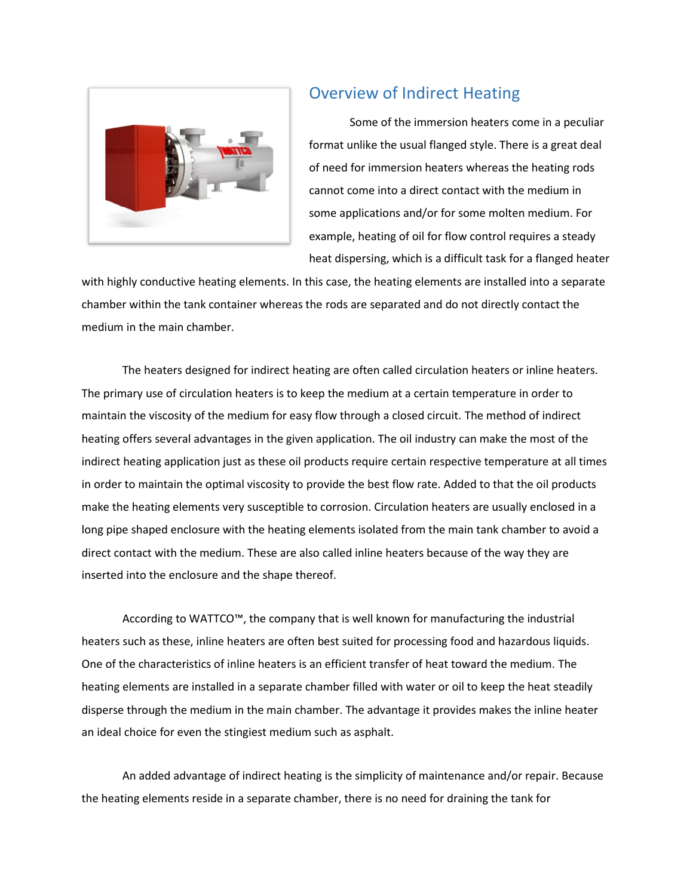

## Overview of Indirect Heating

Some of the immersion heaters come in a peculiar format unlike the usual flanged style. There is a great deal of need for immersion heaters whereas the heating rods cannot come into a direct contact with the medium in some applications and/or for some molten medium. For example, heating of oil for flow control requires a steady heat dispersing, which is a difficult task for a flanged heater

with highly conductive heating elements. In this case, the heating elements are installed into a separate chamber within the tank container whereas the rods are separated and do not directly contact the medium in the main chamber.

The heaters designed for indirect heating are often called circulation heaters or inline heaters. The primary use of circulation heaters is to keep the medium at a certain temperature in order to maintain the viscosity of the medium for easy flow through a closed circuit. The method of indirect heating offers several advantages in the given application. The oil industry can make the most of the indirect heating application just as these oil products require certain respective temperature at all times in order to maintain the optimal viscosity to provide the best flow rate. Added to that the oil products make the heating elements very susceptible to corrosion. Circulation heaters are usually enclosed in a long pipe shaped enclosure with the heating elements isolated from the main tank chamber to avoid a direct contact with the medium. These are also called inline heaters because of the way they are inserted into the enclosure and the shape thereof.

According to WATTCO™, the company that is well known for manufacturing the industrial heaters such as these, inline heaters are often best suited for processing food and hazardous liquids. One of the characteristics of inline heaters is an efficient transfer of heat toward the medium. The heating elements are installed in a separate chamber filled with water or oil to keep the heat steadily disperse through the medium in the main chamber. The advantage it provides makes the inline heater an ideal choice for even the stingiest medium such as asphalt.

An added advantage of indirect heating is the simplicity of maintenance and/or repair. Because the heating elements reside in a separate chamber, there is no need for draining the tank for